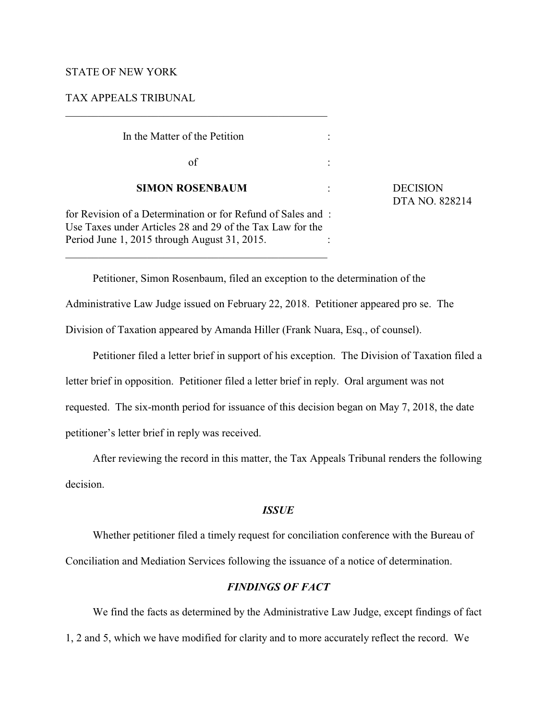# STATE OF NEW YORK

### TAX APPEALS TRIBUNAL

| In the Matter of the Petition                                                                                            |                              |
|--------------------------------------------------------------------------------------------------------------------------|------------------------------|
| οf                                                                                                                       |                              |
| <b>SIMON ROSENBAUM</b>                                                                                                   | <b>DECISION</b><br>DTA NO. 8 |
| for Revision of a Determination or for Refund of Sales and:<br>Use Taxes under Articles 28 and 29 of the Tax Law for the |                              |
| Period June 1, 2015 through August 31, 2015.                                                                             |                              |

LA NO. 828214

Petitioner, Simon Rosenbaum, filed an exception to the determination of the Administrative Law Judge issued on February 22, 2018. Petitioner appeared pro se. The Division of Taxation appeared by Amanda Hiller (Frank Nuara, Esq., of counsel).

Petitioner filed a letter brief in support of his exception. The Division of Taxation filed a letter brief in opposition. Petitioner filed a letter brief in reply. Oral argument was not requested. The six-month period for issuance of this decision began on May 7, 2018, the date petitioner's letter brief in reply was received.

After reviewing the record in this matter, the Tax Appeals Tribunal renders the following decision.

# *ISSUE*

Whether petitioner filed a timely request for conciliation conference with the Bureau of Conciliation and Mediation Services following the issuance of a notice of determination.

# *FINDINGS OF FACT*

We find the facts as determined by the Administrative Law Judge, except findings of fact 1, 2 and 5, which we have modified for clarity and to more accurately reflect the record. We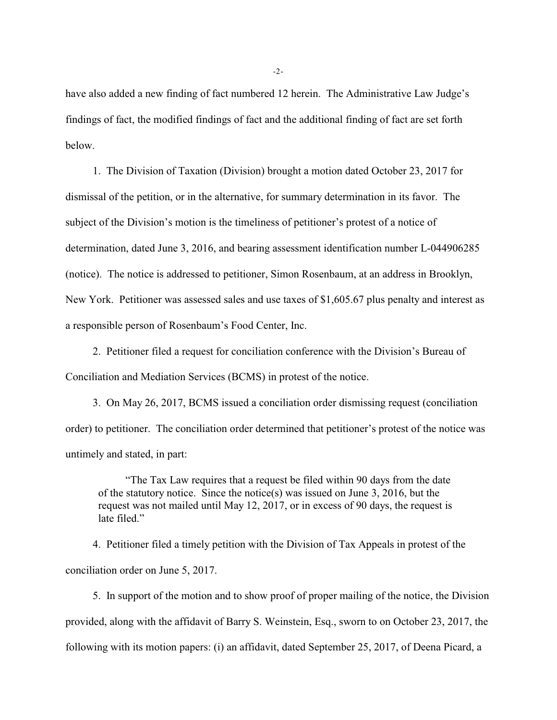have also added a new finding of fact numbered 12 herein. The Administrative Law Judge's findings of fact, the modified findings of fact and the additional finding of fact are set forth below.

1. The Division of Taxation (Division) brought a motion dated October 23, 2017 for dismissal of the petition, or in the alternative, for summary determination in its favor. The subject of the Division's motion is the timeliness of petitioner's protest of a notice of determination, dated June 3, 2016, and bearing assessment identification number L-044906285 (notice). The notice is addressed to petitioner, Simon Rosenbaum, at an address in Brooklyn, New York. Petitioner was assessed sales and use taxes of \$1,605.67 plus penalty and interest as a responsible person of Rosenbaum's Food Center, Inc.

2. Petitioner filed a request for conciliation conference with the Division's Bureau of Conciliation and Mediation Services (BCMS) in protest of the notice.

3. On May 26, 2017, BCMS issued a conciliation order dismissing request (conciliation order) to petitioner. The conciliation order determined that petitioner's protest of the notice was untimely and stated, in part:

"The Tax Law requires that a request be filed within 90 days from the date of the statutory notice. Since the notice(s) was issued on June 3, 2016, but the request was not mailed until May 12, 2017, or in excess of 90 days, the request is late filed."

4. Petitioner filed a timely petition with the Division of Tax Appeals in protest of the conciliation order on June 5, 2017.

5. In support of the motion and to show proof of proper mailing of the notice, the Division provided, along with the affidavit of Barry S. Weinstein, Esq., sworn to on October 23, 2017, the following with its motion papers: (i) an affidavit, dated September 25, 2017, of Deena Picard, a

-2-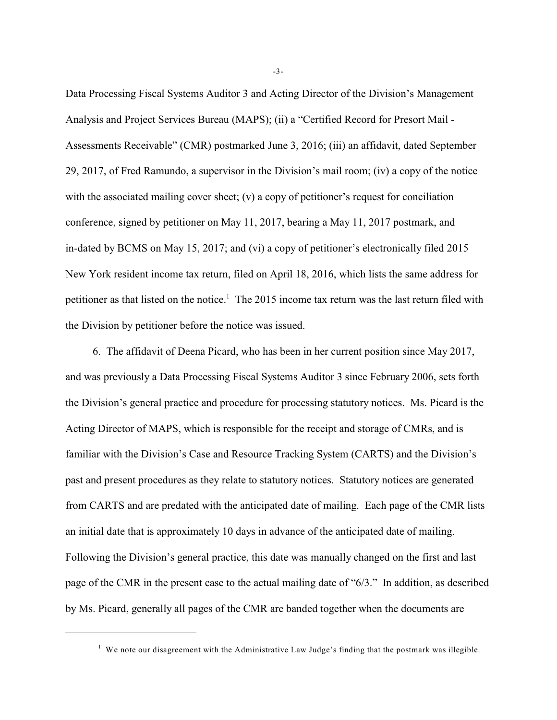Data Processing Fiscal Systems Auditor 3 and Acting Director of the Division's Management Analysis and Project Services Bureau (MAPS); (ii) a "Certified Record for Presort Mail - Assessments Receivable" (CMR) postmarked June 3, 2016; (iii) an affidavit, dated September 29, 2017, of Fred Ramundo, a supervisor in the Division's mail room; (iv) a copy of the notice with the associated mailing cover sheet;  $(v)$  a copy of petitioner's request for conciliation conference, signed by petitioner on May 11, 2017, bearing a May 11, 2017 postmark, and in-dated by BCMS on May 15, 2017; and (vi) a copy of petitioner's electronically filed 2015 New York resident income tax return, filed on April 18, 2016, which lists the same address for petitioner as that listed on the notice.<sup>1</sup> The 2015 income tax return was the last return filed with the Division by petitioner before the notice was issued.

6. The affidavit of Deena Picard, who has been in her current position since May 2017, and was previously a Data Processing Fiscal Systems Auditor 3 since February 2006, sets forth the Division's general practice and procedure for processing statutory notices. Ms. Picard is the Acting Director of MAPS, which is responsible for the receipt and storage of CMRs, and is familiar with the Division's Case and Resource Tracking System (CARTS) and the Division's past and present procedures as they relate to statutory notices. Statutory notices are generated from CARTS and are predated with the anticipated date of mailing. Each page of the CMR lists an initial date that is approximately 10 days in advance of the anticipated date of mailing. Following the Division's general practice, this date was manually changed on the first and last page of the CMR in the present case to the actual mailing date of "6/3." In addition, as described by Ms. Picard, generally all pages of the CMR are banded together when the documents are

-3-

 $1$  We note our disagreement with the Administrative Law Judge's finding that the postmark was illegible.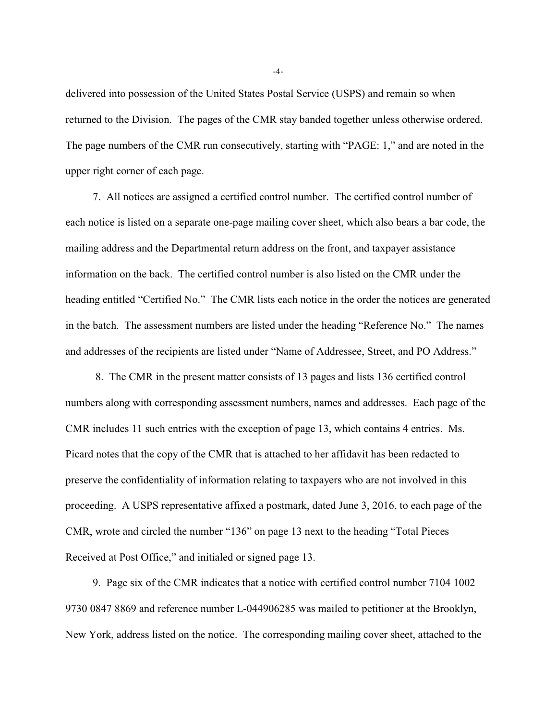delivered into possession of the United States Postal Service (USPS) and remain so when returned to the Division. The pages of the CMR stay banded together unless otherwise ordered. The page numbers of the CMR run consecutively, starting with "PAGE: 1," and are noted in the upper right corner of each page.

7. All notices are assigned a certified control number. The certified control number of each notice is listed on a separate one-page mailing cover sheet, which also bears a bar code, the mailing address and the Departmental return address on the front, and taxpayer assistance information on the back. The certified control number is also listed on the CMR under the heading entitled "Certified No." The CMR lists each notice in the order the notices are generated in the batch. The assessment numbers are listed under the heading "Reference No." The names and addresses of the recipients are listed under "Name of Addressee, Street, and PO Address."

 8. The CMR in the present matter consists of 13 pages and lists 136 certified control numbers along with corresponding assessment numbers, names and addresses. Each page of the CMR includes 11 such entries with the exception of page 13, which contains 4 entries. Ms. Picard notes that the copy of the CMR that is attached to her affidavit has been redacted to preserve the confidentiality of information relating to taxpayers who are not involved in this proceeding. A USPS representative affixed a postmark, dated June 3, 2016, to each page of the CMR, wrote and circled the number "136" on page 13 next to the heading "Total Pieces Received at Post Office," and initialed or signed page 13.

9. Page six of the CMR indicates that a notice with certified control number 7104 1002 9730 0847 8869 and reference number L-044906285 was mailed to petitioner at the Brooklyn, New York, address listed on the notice. The corresponding mailing cover sheet, attached to the

-4-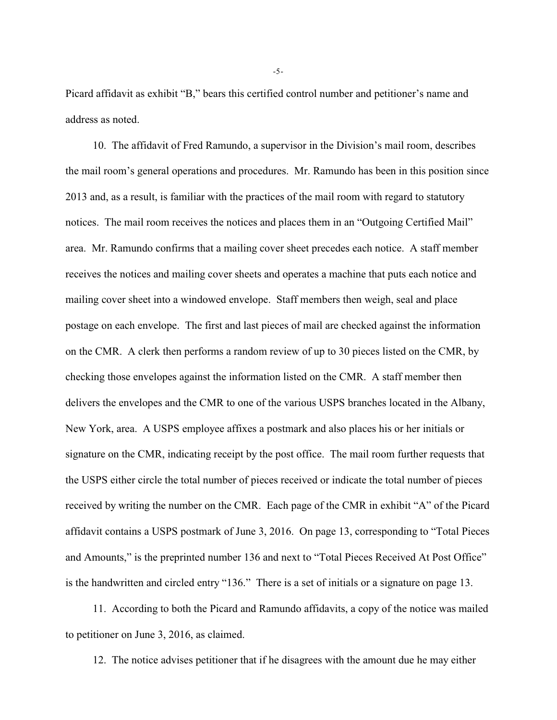Picard affidavit as exhibit "B," bears this certified control number and petitioner's name and address as noted.

10. The affidavit of Fred Ramundo, a supervisor in the Division's mail room, describes the mail room's general operations and procedures. Mr. Ramundo has been in this position since 2013 and, as a result, is familiar with the practices of the mail room with regard to statutory notices. The mail room receives the notices and places them in an "Outgoing Certified Mail" area. Mr. Ramundo confirms that a mailing cover sheet precedes each notice. A staff member receives the notices and mailing cover sheets and operates a machine that puts each notice and mailing cover sheet into a windowed envelope. Staff members then weigh, seal and place postage on each envelope. The first and last pieces of mail are checked against the information on the CMR. A clerk then performs a random review of up to 30 pieces listed on the CMR, by checking those envelopes against the information listed on the CMR. A staff member then delivers the envelopes and the CMR to one of the various USPS branches located in the Albany, New York, area. A USPS employee affixes a postmark and also places his or her initials or signature on the CMR, indicating receipt by the post office. The mail room further requests that the USPS either circle the total number of pieces received or indicate the total number of pieces received by writing the number on the CMR. Each page of the CMR in exhibit "A" of the Picard affidavit contains a USPS postmark of June 3, 2016. On page 13, corresponding to "Total Pieces and Amounts," is the preprinted number 136 and next to "Total Pieces Received At Post Office" is the handwritten and circled entry "136." There is a set of initials or a signature on page 13.

11. According to both the Picard and Ramundo affidavits, a copy of the notice was mailed to petitioner on June 3, 2016, as claimed.

12. The notice advises petitioner that if he disagrees with the amount due he may either

-5-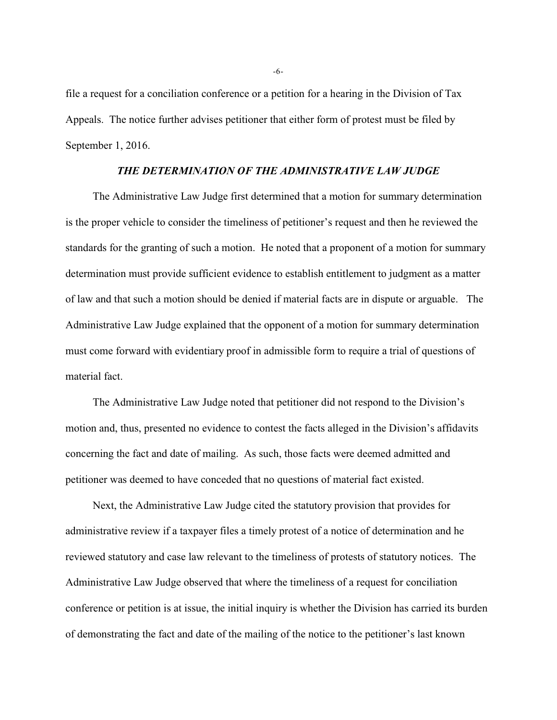file a request for a conciliation conference or a petition for a hearing in the Division of Tax Appeals. The notice further advises petitioner that either form of protest must be filed by September 1, 2016.

# *THE DETERMINATION OF THE ADMINISTRATIVE LAW JUDGE*

The Administrative Law Judge first determined that a motion for summary determination is the proper vehicle to consider the timeliness of petitioner's request and then he reviewed the standards for the granting of such a motion. He noted that a proponent of a motion for summary determination must provide sufficient evidence to establish entitlement to judgment as a matter of law and that such a motion should be denied if material facts are in dispute or arguable. The Administrative Law Judge explained that the opponent of a motion for summary determination must come forward with evidentiary proof in admissible form to require a trial of questions of material fact.

The Administrative Law Judge noted that petitioner did not respond to the Division's motion and, thus, presented no evidence to contest the facts alleged in the Division's affidavits concerning the fact and date of mailing. As such, those facts were deemed admitted and petitioner was deemed to have conceded that no questions of material fact existed.

Next, the Administrative Law Judge cited the statutory provision that provides for administrative review if a taxpayer files a timely protest of a notice of determination and he reviewed statutory and case law relevant to the timeliness of protests of statutory notices. The Administrative Law Judge observed that where the timeliness of a request for conciliation conference or petition is at issue, the initial inquiry is whether the Division has carried its burden of demonstrating the fact and date of the mailing of the notice to the petitioner's last known

-6-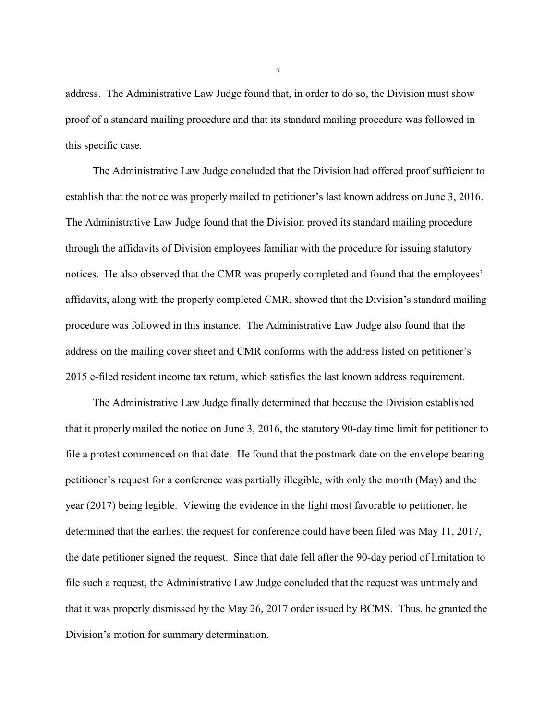address. The Administrative Law Judge found that, in order to do so, the Division must show proof of a standard mailing procedure and that its standard mailing procedure was followed in this specific case.

The Administrative Law Judge concluded that the Division had offered proof sufficient to establish that the notice was properly mailed to petitioner's last known address on June 3, 2016. The Administrative Law Judge found that the Division proved its standard mailing procedure through the affidavits of Division employees familiar with the procedure for issuing statutory notices. He also observed that the CMR was properly completed and found that the employees' affidavits, along with the properly completed CMR, showed that the Division's standard mailing procedure was followed in this instance. The Administrative Law Judge also found that the address on the mailing cover sheet and CMR conforms with the address listed on petitioner's 2015 e-filed resident income tax return, which satisfies the last known address requirement.

The Administrative Law Judge finally determined that because the Division established that it properly mailed the notice on June 3, 2016, the statutory 90-day time limit for petitioner to file a protest commenced on that date. He found that the postmark date on the envelope bearing petitioner's request for a conference was partially illegible, with only the month (May) and the year (2017) being legible. Viewing the evidence in the light most favorable to petitioner, he determined that the earliest the request for conference could have been filed was May 11, 2017, the date petitioner signed the request. Since that date fell after the 90-day period of limitation to file such a request, the Administrative Law Judge concluded that the request was untimely and that it was properly dismissed by the May 26, 2017 order issued by BCMS. Thus, he granted the Division's motion for summary determination.

-7-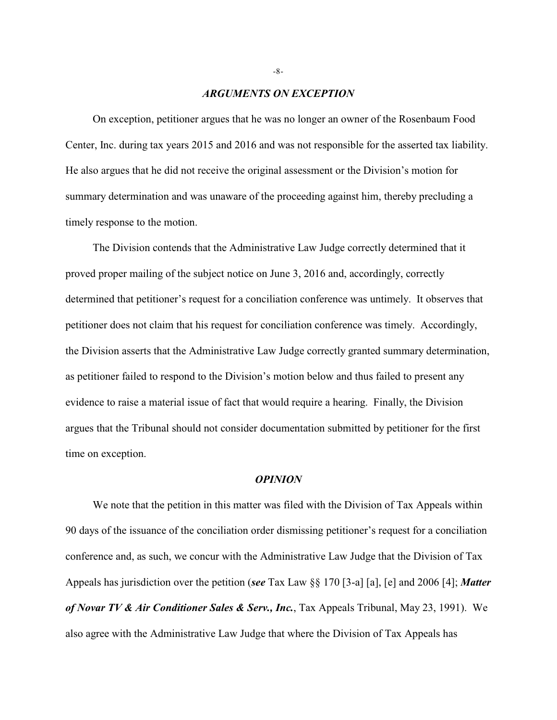### *ARGUMENTS ON EXCEPTION*

On exception, petitioner argues that he was no longer an owner of the Rosenbaum Food Center, Inc. during tax years 2015 and 2016 and was not responsible for the asserted tax liability. He also argues that he did not receive the original assessment or the Division's motion for summary determination and was unaware of the proceeding against him, thereby precluding a timely response to the motion.

The Division contends that the Administrative Law Judge correctly determined that it proved proper mailing of the subject notice on June 3, 2016 and, accordingly, correctly determined that petitioner's request for a conciliation conference was untimely. It observes that petitioner does not claim that his request for conciliation conference was timely. Accordingly, the Division asserts that the Administrative Law Judge correctly granted summary determination, as petitioner failed to respond to the Division's motion below and thus failed to present any evidence to raise a material issue of fact that would require a hearing. Finally, the Division argues that the Tribunal should not consider documentation submitted by petitioner for the first time on exception.

#### *OPINION*

We note that the petition in this matter was filed with the Division of Tax Appeals within 90 days of the issuance of the conciliation order dismissing petitioner's request for a conciliation conference and, as such, we concur with the Administrative Law Judge that the Division of Tax Appeals has jurisdiction over the petition (*see* Tax Law §§ 170 [3-a] [a], [e] and 2006 [4]; *Matter of Novar TV & Air Conditioner Sales & Serv., Inc.*, Tax Appeals Tribunal, May 23, 1991). We also agree with the Administrative Law Judge that where the Division of Tax Appeals has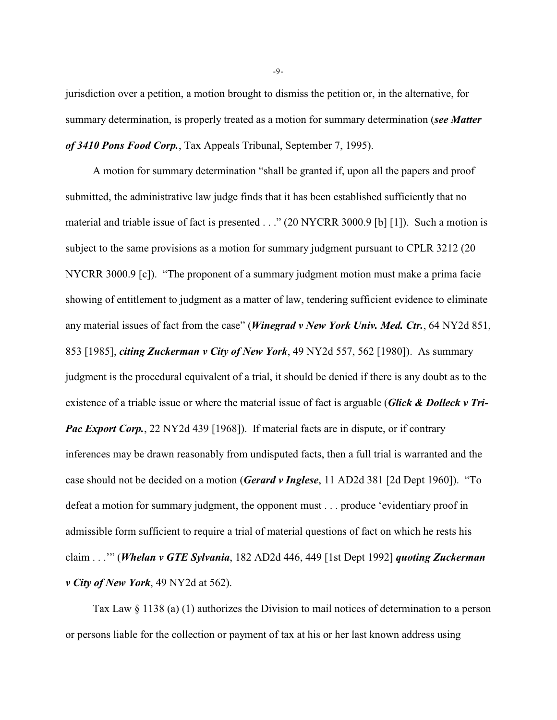jurisdiction over a petition, a motion brought to dismiss the petition or, in the alternative, for summary determination, is properly treated as a motion for summary determination (*see Matter of 3410 Pons Food Corp.*, Tax Appeals Tribunal, September 7, 1995).

A motion for summary determination "shall be granted if, upon all the papers and proof submitted, the administrative law judge finds that it has been established sufficiently that no material and triable issue of fact is presented . . ." (20 NYCRR 3000.9 [b] [1]). Such a motion is subject to the same provisions as a motion for summary judgment pursuant to CPLR 3212 (20) NYCRR 3000.9 [c]). "The proponent of a summary judgment motion must make a prima facie showing of entitlement to judgment as a matter of law, tendering sufficient evidence to eliminate any material issues of fact from the case" (*Winegrad v New York Univ. Med. Ctr.*, 64 NY2d 851, 853 [1985], *citing Zuckerman v City of New York*, 49 NY2d 557, 562 [1980]). As summary judgment is the procedural equivalent of a trial, it should be denied if there is any doubt as to the existence of a triable issue or where the material issue of fact is arguable (*Glick & Dolleck v Tri-Pac Export Corp.*, 22 NY2d 439 [1968]). If material facts are in dispute, or if contrary inferences may be drawn reasonably from undisputed facts, then a full trial is warranted and the case should not be decided on a motion (*Gerard v Inglese*, 11 AD2d 381 [2d Dept 1960]). "To defeat a motion for summary judgment, the opponent must . . . produce 'evidentiary proof in admissible form sufficient to require a trial of material questions of fact on which he rests his claim . . .'" (*Whelan v GTE Sylvania*, 182 AD2d 446, 449 [1st Dept 1992] *quoting Zuckerman v City of New York*, 49 NY2d at 562).

Tax Law § 1138 (a) (1) authorizes the Division to mail notices of determination to a person or persons liable for the collection or payment of tax at his or her last known address using

-9-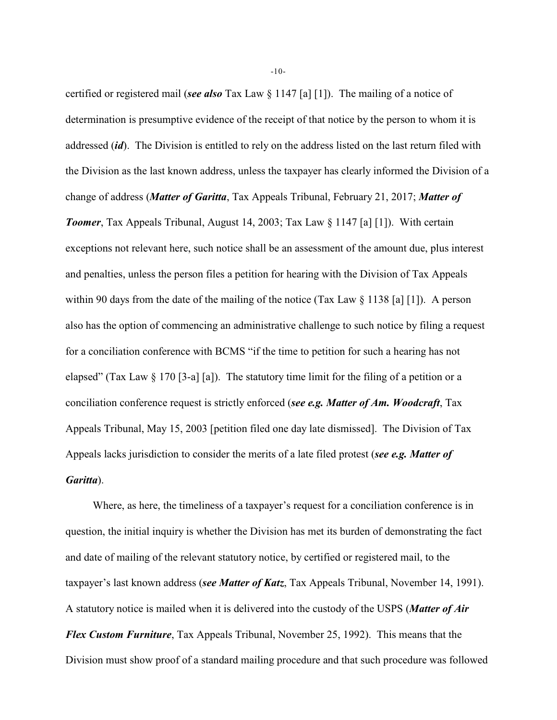certified or registered mail (*see also* Tax Law § 1147 [a] [1]). The mailing of a notice of determination is presumptive evidence of the receipt of that notice by the person to whom it is addressed (*id*). The Division is entitled to rely on the address listed on the last return filed with the Division as the last known address, unless the taxpayer has clearly informed the Division of a change of address (*Matter of Garitta*, Tax Appeals Tribunal, February 21, 2017; *Matter of Toomer*, Tax Appeals Tribunal, August 14, 2003; Tax Law § 1147 [a] [1]). With certain exceptions not relevant here, such notice shall be an assessment of the amount due, plus interest and penalties, unless the person files a petition for hearing with the Division of Tax Appeals within 90 days from the date of the mailing of the notice (Tax Law  $\S 1138 \lceil a \rceil [1]$ ). A person also has the option of commencing an administrative challenge to such notice by filing a request for a conciliation conference with BCMS "if the time to petition for such a hearing has not elapsed" (Tax Law § 170 [3-a] [a]). The statutory time limit for the filing of a petition or a conciliation conference request is strictly enforced (*see e.g. Matter of Am. Woodcraft*, Tax Appeals Tribunal, May 15, 2003 [petition filed one day late dismissed]. The Division of Tax Appeals lacks jurisdiction to consider the merits of a late filed protest (*see e.g. Matter of Garitta*).

Where, as here, the timeliness of a taxpayer's request for a conciliation conference is in question, the initial inquiry is whether the Division has met its burden of demonstrating the fact and date of mailing of the relevant statutory notice, by certified or registered mail, to the taxpayer's last known address (*see Matter of Katz*, Tax Appeals Tribunal, November 14, 1991). A statutory notice is mailed when it is delivered into the custody of the USPS (*Matter of Air Flex Custom Furniture*, Tax Appeals Tribunal, November 25, 1992). This means that the Division must show proof of a standard mailing procedure and that such procedure was followed

-10-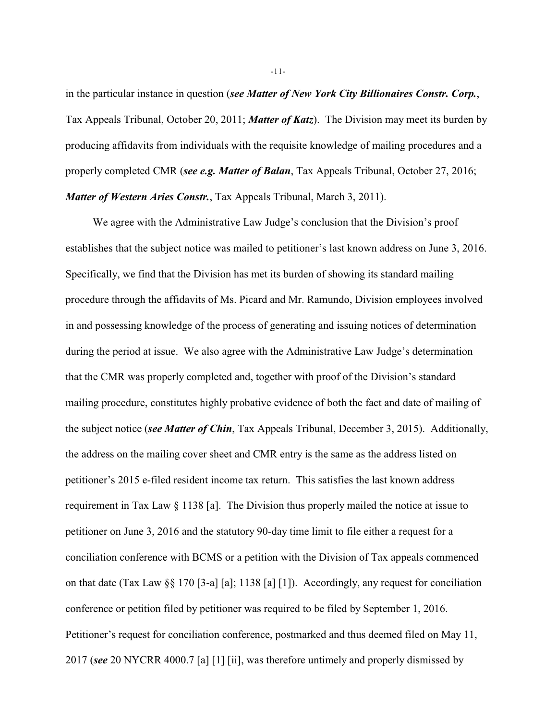in the particular instance in question (*see Matter of New York City Billionaires Constr. Corp.*, Tax Appeals Tribunal, October 20, 2011; *Matter of Katz*). The Division may meet its burden by producing affidavits from individuals with the requisite knowledge of mailing procedures and a properly completed CMR (*see e.g. Matter of Balan*, Tax Appeals Tribunal, October 27, 2016; *Matter of Western Aries Constr.*, Tax Appeals Tribunal, March 3, 2011).

We agree with the Administrative Law Judge's conclusion that the Division's proof establishes that the subject notice was mailed to petitioner's last known address on June 3, 2016. Specifically, we find that the Division has met its burden of showing its standard mailing procedure through the affidavits of Ms. Picard and Mr. Ramundo, Division employees involved in and possessing knowledge of the process of generating and issuing notices of determination during the period at issue. We also agree with the Administrative Law Judge's determination that the CMR was properly completed and, together with proof of the Division's standard mailing procedure, constitutes highly probative evidence of both the fact and date of mailing of the subject notice (*see Matter of Chin*, Tax Appeals Tribunal, December 3, 2015). Additionally, the address on the mailing cover sheet and CMR entry is the same as the address listed on petitioner's 2015 e-filed resident income tax return. This satisfies the last known address requirement in Tax Law § 1138 [a]. The Division thus properly mailed the notice at issue to petitioner on June 3, 2016 and the statutory 90-day time limit to file either a request for a conciliation conference with BCMS or a petition with the Division of Tax appeals commenced on that date (Tax Law §§ 170 [3-a] [a]; 1138 [a] [1]). Accordingly, any request for conciliation conference or petition filed by petitioner was required to be filed by September 1, 2016. Petitioner's request for conciliation conference, postmarked and thus deemed filed on May 11, 2017 (*see* 20 NYCRR 4000.7 [a] [1] [ii], was therefore untimely and properly dismissed by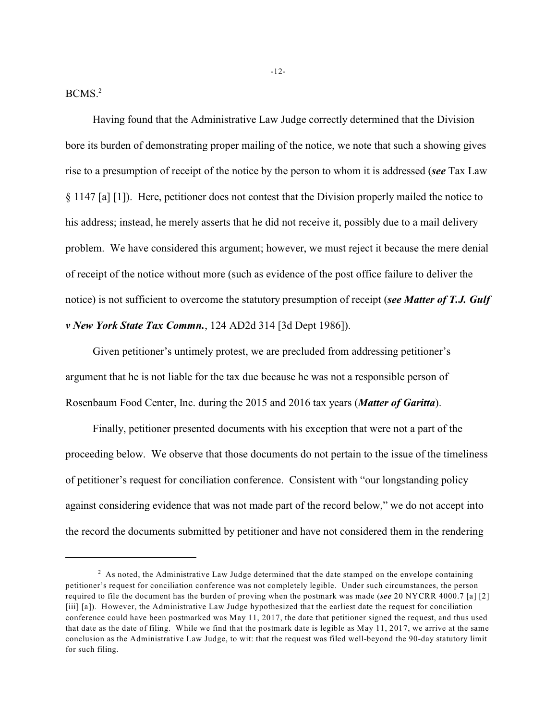BCMS.<sup>2</sup>

Having found that the Administrative Law Judge correctly determined that the Division bore its burden of demonstrating proper mailing of the notice, we note that such a showing gives rise to a presumption of receipt of the notice by the person to whom it is addressed (*see* Tax Law § 1147 [a] [1]). Here, petitioner does not contest that the Division properly mailed the notice to his address; instead, he merely asserts that he did not receive it, possibly due to a mail delivery problem. We have considered this argument; however, we must reject it because the mere denial of receipt of the notice without more (such as evidence of the post office failure to deliver the notice) is not sufficient to overcome the statutory presumption of receipt (*see Matter of T.J. Gulf v New York State Tax Commn.*, 124 AD2d 314 [3d Dept 1986]).

Given petitioner's untimely protest, we are precluded from addressing petitioner's argument that he is not liable for the tax due because he was not a responsible person of Rosenbaum Food Center, Inc. during the 2015 and 2016 tax years (*Matter of Garitta*).

Finally, petitioner presented documents with his exception that were not a part of the proceeding below. We observe that those documents do not pertain to the issue of the timeliness of petitioner's request for conciliation conference. Consistent with "our longstanding policy against considering evidence that was not made part of the record below," we do not accept into the record the documents submitted by petitioner and have not considered them in the rendering

-12-

 $2$  As noted, the Administrative Law Judge determined that the date stamped on the envelope containing petitioner's request for conciliation conference was not completely legible. Under such circumstances, the person required to file the document has the burden of proving when the postmark was made (*see* 20 NYCRR 4000.7 [a] [2] [iii] [a]). However, the Administrative Law Judge hypothesized that the earliest date the request for conciliation conference could have been postmarked was May 11, 2017, the date that petitioner signed the request, and thus used that date as the date of filing. While we find that the postmark date is legible as May 11, 2017, we arrive at the same conclusion as the Administrative Law Judge, to wit: that the request was filed well-beyond the 90-day statutory limit for such filing.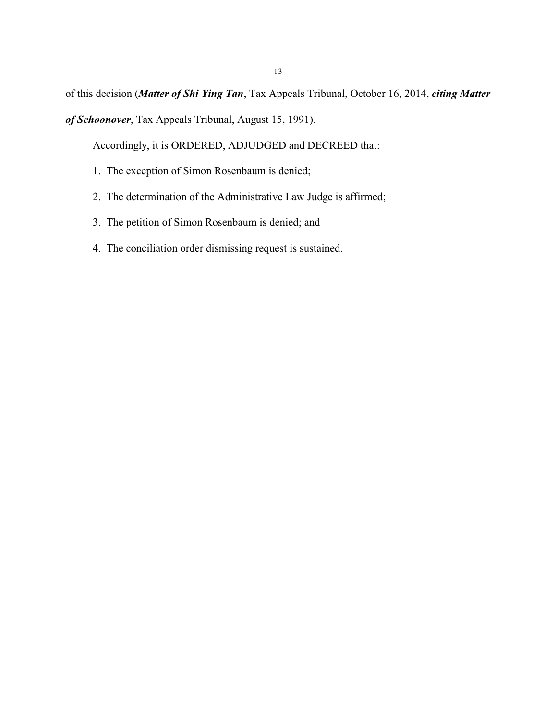of this decision (*Matter of Shi Ying Tan*, Tax Appeals Tribunal, October 16, 2014, *citing Matter of Schoonover*, Tax Appeals Tribunal, August 15, 1991).

Accordingly, it is ORDERED, ADJUDGED and DECREED that:

- 1. The exception of Simon Rosenbaum is denied;
- 2. The determination of the Administrative Law Judge is affirmed;
- 3. The petition of Simon Rosenbaum is denied; and
- 4. The conciliation order dismissing request is sustained.